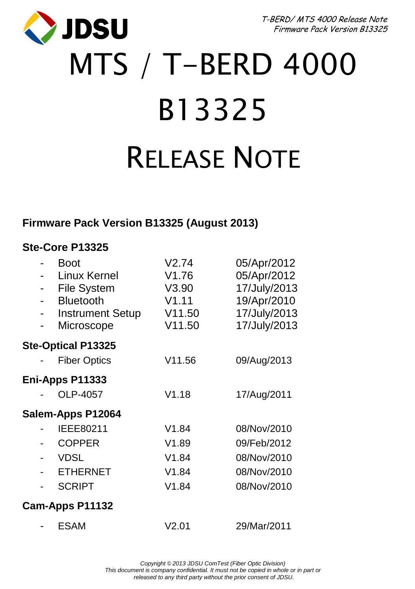**JDSU** 

T-BERD/ MTS 4000 Release Note Firmware Pack Version B13325

# MTS / T-BERD 4000 B13325 RELEASE NOTE

### **Firmware Pack Version B13325 (August 2013)**

#### **Ste-Core P13325**

|                 | Boot<br>Linux Kernel<br><b>File System</b><br><b>Bluetooth</b><br><b>Instrument Setup</b><br>Microscope | V2.74<br>V <sub>1.76</sub><br>V3.90<br>V1.11<br>V11.50<br>V11.50 | 05/Apr/2012<br>05/Apr/2012<br>17/July/2013<br>19/Apr/2010<br>17/July/2013<br>17/July/2013 |  |
|-----------------|---------------------------------------------------------------------------------------------------------|------------------------------------------------------------------|-------------------------------------------------------------------------------------------|--|
|                 | <b>Ste-Optical P13325</b>                                                                               |                                                                  |                                                                                           |  |
|                 | <b>Fiber Optics</b>                                                                                     | V11.56                                                           | 09/Aug/2013                                                                               |  |
|                 | Eni-Apps P11333                                                                                         |                                                                  |                                                                                           |  |
|                 | OLP-4057                                                                                                | V1.18                                                            | 17/Aug/2011                                                                               |  |
|                 | Salem-Apps P12064                                                                                       |                                                                  |                                                                                           |  |
|                 | IEEE80211                                                                                               | V1.84                                                            | 08/Nov/2010                                                                               |  |
|                 | <b>COPPER</b>                                                                                           | V1.89                                                            | 09/Feb/2012                                                                               |  |
|                 | <b>VDSL</b>                                                                                             | V1.84                                                            | 08/Nov/2010                                                                               |  |
|                 | <b>ETHERNET</b>                                                                                         | V1.84                                                            | 08/Nov/2010                                                                               |  |
|                 | <b>SCRIPT</b>                                                                                           | V1.84                                                            | 08/Nov/2010                                                                               |  |
| Cam-Apps P11132 |                                                                                                         |                                                                  |                                                                                           |  |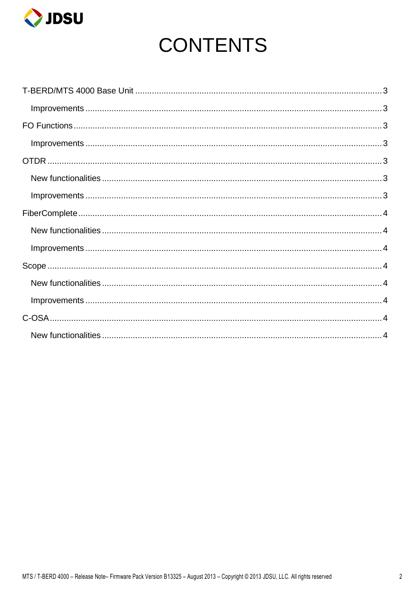

## **CONTENTS**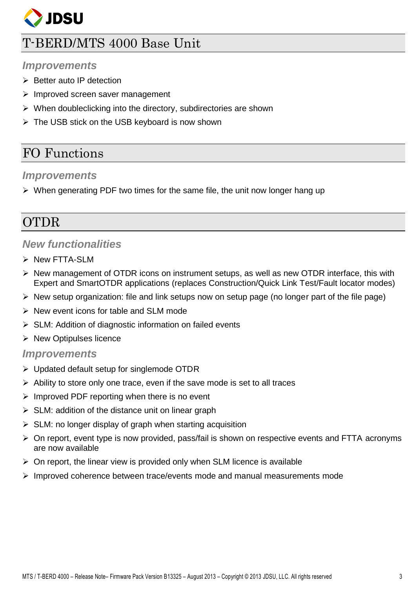

## <span id="page-2-0"></span>T-BERD/MTS 4000 Base Unit

#### <span id="page-2-1"></span>*Improvements*

- $\triangleright$  Better auto IP detection
- $\triangleright$  Improved screen saver management
- $\triangleright$  When doubleclicking into the directory, subdirectories are shown
- $\triangleright$  The USB stick on the USB keyboard is now shown

## <span id="page-2-2"></span>FO Functions

#### <span id="page-2-3"></span>*Improvements*

 $\triangleright$  When generating PDF two times for the same file, the unit now longer hang up

## <span id="page-2-4"></span>**OTDR**

#### <span id="page-2-5"></span>*New functionalities*

- > New FTTA-SLM
- $\triangleright$  New management of OTDR icons on instrument setups, as well as new OTDR interface, this with Expert and SmartOTDR applications (replaces Construction/Quick Link Test/Fault locator modes)
- $\triangleright$  New setup organization: file and link setups now on setup page (no longer part of the file page)
- $\triangleright$  New event icons for table and SLM mode
- SLM: Addition of diagnostic information on failed events
- $\triangleright$  New Optipulses licence

#### <span id="page-2-6"></span>*Improvements*

- Updated default setup for singlemode OTDR
- $\triangleright$  Ability to store only one trace, even if the save mode is set to all traces
- $\triangleright$  Improved PDF reporting when there is no event
- $\triangleright$  SLM: addition of the distance unit on linear graph
- $\triangleright$  SLM: no longer display of graph when starting acquisition
- $\triangleright$  On report, event type is now provided, pass/fail is shown on respective events and FTTA acronyms are now available
- $\triangleright$  On report, the linear view is provided only when SLM licence is available
- $\triangleright$  Improved coherence between trace/events mode and manual measurements mode